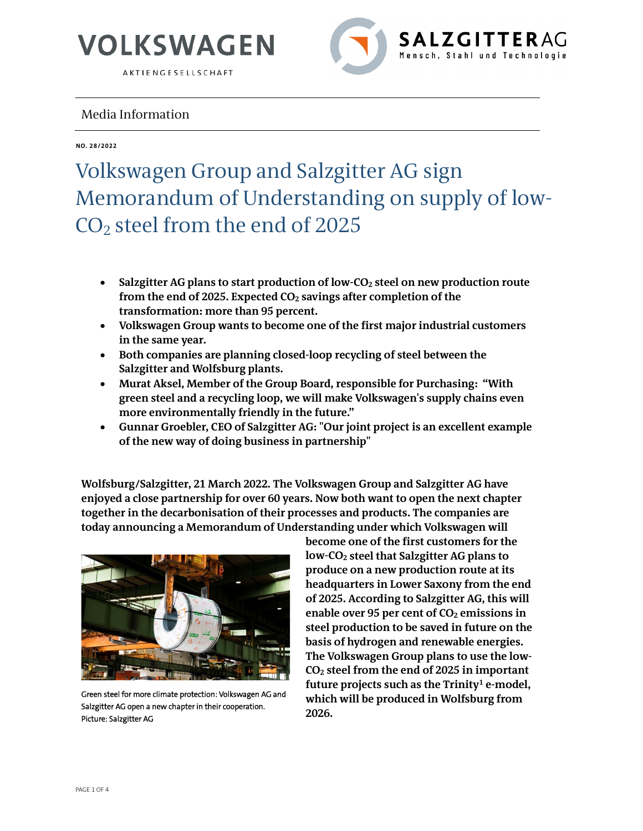

AKTIENGESELLSCHAFT



### Media Information

**NO. 28/2022**

### Volkswagen Group and Salzgitter AG sign Memorandum of Understanding on supply of low-CO2 steel from the end of 2025

- **Salzgitter AG plans to start production of low-CO2 steel on new production route from the end of 2025. Expected CO2 savings after completion of the transformation: more than 95 percent.**
- **Volkswagen Group wants to become one of the first major industrial customers in the same year.**
- **Both companies are planning closed-loop recycling of steel between the Salzgitter and Wolfsburg plants.**
- **Murat Aksel, Member of the Group Board, responsible for Purchasing: "With green steel and a recycling loop, we will make Volkswagen's supply chains even more environmentally friendly in the future."**
- **Gunnar Groebler, CEO of Salzgitter AG: "Our joint project is an excellent example of the new way of doing business in partnership"**

**Wolfsburg/Salzgitter, 21 March 2022. The Volkswagen Group and Salzgitter AG have enjoyed a close partnership for over 60 years. Now both want to open the next chapter together in the decarbonisation of their processes and products. The companies are today announcing a Memorandum of Understanding under which Volkswagen will** 



Green steel for more climate protection: Volkswagen AG and Salzgitter AG open a new chapter in their cooperation. Picture: Salzgitter AG

**become one of the first customers for the low-CO2 steel that Salzgitter AG plans to produce on a new production route at its headquarters in Lower Saxony from the end of 2025. According to Salzgitter AG, this will enable over 95 per cent of CO2 emissions in steel production to be saved in future on the basis of hydrogen and renewable energies. The Volkswagen Group plans to use the low-CO2 steel from the end of 2025 in important**  future projects such as the Trinity<sup>1</sup> e-model, **which will be produced in Wolfsburg from 2026.**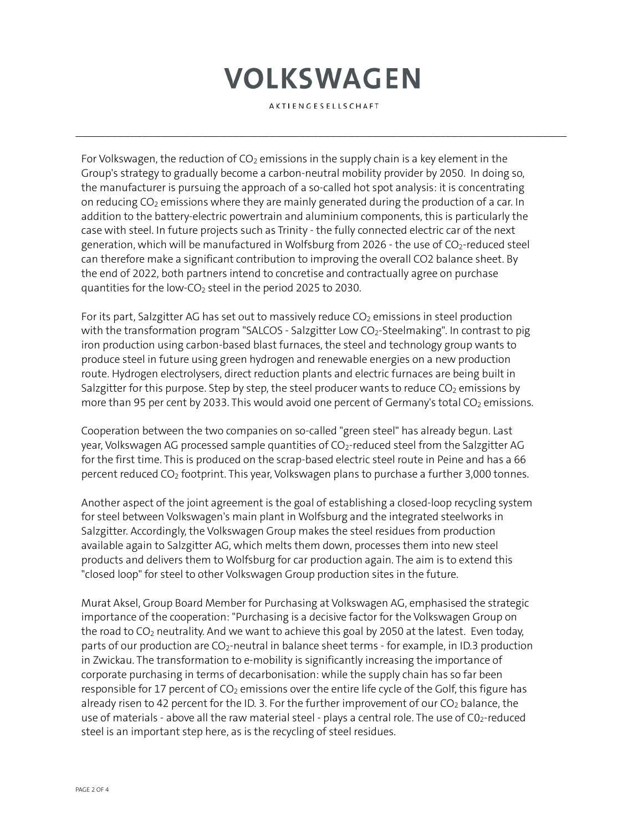# **VOLKSWAGEN**

AKTIENGESELLSCHAFT

 $\mathcal{L}_\mathcal{L} = \{ \mathcal{L}_\mathcal{L} = \{ \mathcal{L}_\mathcal{L} = \{ \mathcal{L}_\mathcal{L} = \{ \mathcal{L}_\mathcal{L} = \{ \mathcal{L}_\mathcal{L} = \{ \mathcal{L}_\mathcal{L} = \{ \mathcal{L}_\mathcal{L} = \{ \mathcal{L}_\mathcal{L} = \{ \mathcal{L}_\mathcal{L} = \{ \mathcal{L}_\mathcal{L} = \{ \mathcal{L}_\mathcal{L} = \{ \mathcal{L}_\mathcal{L} = \{ \mathcal{L}_\mathcal{L} = \{ \mathcal{L}_\mathcal{$ 

For Volkswagen, the reduction of  $CO<sub>2</sub>$  emissions in the supply chain is a key element in the Group's strategy to gradually become a carbon-neutral mobility provider by 2050. In doing so, the manufacturer is pursuing the approach of a so-called hot spot analysis: it is concentrating on reducing CO<sub>2</sub> emissions where they are mainly generated during the production of a car. In addition to the battery-electric powertrain and aluminium components, this is particularly the case with steel. In future projects such as Trinity - the fully connected electric car of the next generation, which will be manufactured in Wolfsburg from 2026 - the use of  $CO<sub>2</sub>$ -reduced steel can therefore make a significant contribution to improving the overall CO2 balance sheet. By the end of 2022, both partners intend to concretise and contractually agree on purchase quantities for the low-CO<sub>2</sub> steel in the period 2025 to 2030.

For its part, Salzgitter AG has set out to massively reduce  $CO<sub>2</sub>$  emissions in steel production with the transformation program "SALCOS - Salzgitter Low  $CO<sub>2</sub>$ -Steelmaking". In contrast to pig iron production using carbon-based blast furnaces, the steel and technology group wants to produce steel in future using green hydrogen and renewable energies on a new production route. Hydrogen electrolysers, direct reduction plants and electric furnaces are being built in Salzgitter for this purpose. Step by step, the steel producer wants to reduce  $CO<sub>2</sub>$  emissions by more than 95 per cent by 2033. This would avoid one percent of Germany's total  $CO<sub>2</sub>$  emissions.

Cooperation between the two companies on so-called "green steel" has already begun. Last year, Volkswagen AG processed sample quantities of  $CO<sub>2</sub>$ -reduced steel from the Salzgitter AG for the first time. This is produced on the scrap-based electric steel route in Peine and has a 66 percent reduced  $CO<sub>2</sub>$  footprint. This year, Volkswagen plans to purchase a further 3,000 tonnes.

Another aspect of the joint agreement is the goal of establishing a closed-loop recycling system for steel between Volkswagen's main plant in Wolfsburg and the integrated steelworks in Salzgitter. Accordingly, the Volkswagen Group makes the steel residues from production available again to Salzgitter AG, which melts them down, processes them into new steel products and delivers them to Wolfsburg for car production again. The aim is to extend this "closed loop" for steel to other Volkswagen Group production sites in the future.

Murat Aksel, Group Board Member for Purchasing at Volkswagen AG, emphasised the strategic importance of the cooperation: "Purchasing is a decisive factor for the Volkswagen Group on the road to  $CO<sub>2</sub>$  neutrality. And we want to achieve this goal by 2050 at the latest. Even today, parts of our production are  $CO<sub>2</sub>$ -neutral in balance sheet terms - for example, in ID.3 production in Zwickau. The transformation to e-mobility is significantly increasing the importance of corporate purchasing in terms of decarbonisation: while the supply chain has so far been responsible for 17 percent of  $CO<sub>2</sub>$  emissions over the entire life cycle of the Golf, this figure has already risen to 42 percent for the ID. 3. For the further improvement of our  $CO<sub>2</sub>$  balance, the use of materials - above all the raw material steel - plays a central role. The use of  $CO<sub>2</sub>$ -reduced steel is an important step here, as is the recycling of steel residues.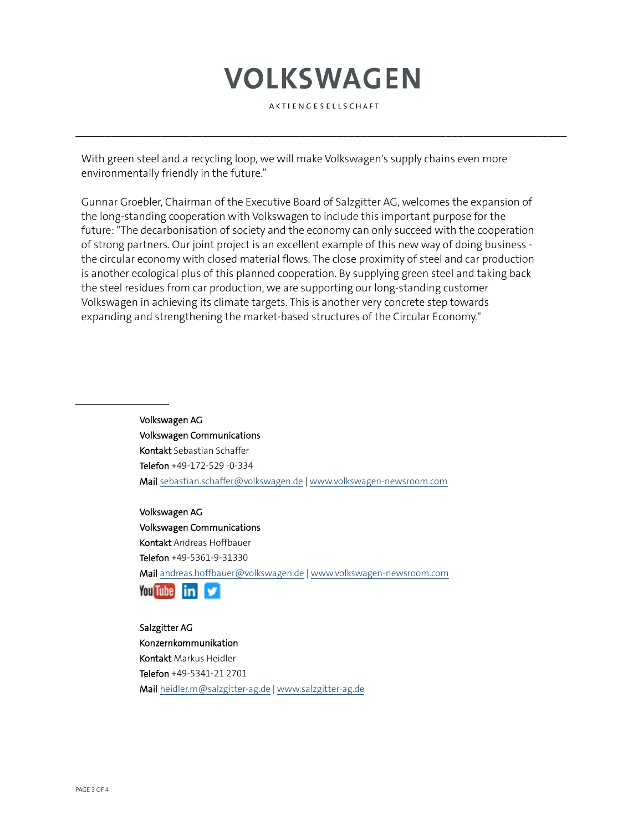## **VOLKSWAGEN**

AKTIENGESELLSCHAFT

 $\mathcal{L}_\mathcal{L} = \{ \mathcal{L}_\mathcal{L} = \{ \mathcal{L}_\mathcal{L} = \{ \mathcal{L}_\mathcal{L} = \{ \mathcal{L}_\mathcal{L} = \{ \mathcal{L}_\mathcal{L} = \{ \mathcal{L}_\mathcal{L} = \{ \mathcal{L}_\mathcal{L} = \{ \mathcal{L}_\mathcal{L} = \{ \mathcal{L}_\mathcal{L} = \{ \mathcal{L}_\mathcal{L} = \{ \mathcal{L}_\mathcal{L} = \{ \mathcal{L}_\mathcal{L} = \{ \mathcal{L}_\mathcal{L} = \{ \mathcal{L}_\mathcal{$ 

With green steel and a recycling loop, we will make Volkswagen's supply chains even more environmentally friendly in the future."

Gunnar Groebler, Chairman of the Executive Board of Salzgitter AG, welcomes the expansion of the long-standing cooperation with Volkswagen to include this important purpose for the future: "The decarbonisation of society and the economy can only succeed with the cooperation of strong partners. Our joint project is an excellent example of this new way of doing business the circular economy with closed material flows. The close proximity of steel and car production is another ecological plus of this planned cooperation. By supplying green steel and taking back the steel residues from car production, we are supporting our long-standing customer Volkswagen in achieving its climate targets. This is another very concrete step towards expanding and strengthening the market-based structures of the Circular Economy."

> Volkswagen AG Volkswagen Communications Kontakt Sebastian Schaffer Telefon +49-172-529 -0-334 Mai[l sebastian.schaffer@volkswagen.de](mailto:sebastian.schaffer@volkswagen.deirstname.surname@volkswagen.de) [| www.volkswagen-newsroom.com](http://www.volkswagen-newsroom.com/)

> Volkswagen AG Volkswagen Communications Kontakt Andreas Hoffbauer Telefon +49-5361-9-31330 Mai[l andreas.hoffbauer@volkswagen.de](mailto:andreas.hoffbauer@volkswagen.de) [| www.volkswagen-newsroom.com](http://www.volkswagen-newsroom.com/)



Salzgitter AG Konzernkommunikation Kontakt Markus Heidler Telefon +49-5341-21 2701 Mai[l heidler.m@salzgitter-ag.de](mailto:heidler.m@salzgitter-ag.de) [| www.salzgitter-ag.de](http://www.salzgitter-ag.de/)